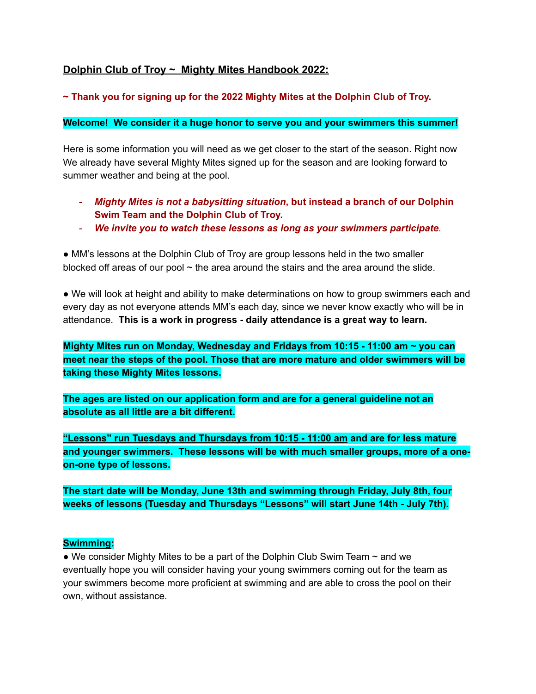# **Dolphin Club of Troy ~ Mighty Mites Handbook 2022:**

## **~ Thank you for signing up for the 2022 Mighty Mites at the Dolphin Club of Troy.**

#### **Welcome! We consider it a huge honor to serve you and your swimmers this summer!**

Here is some information you will need as we get closer to the start of the season. Right now We already have several Mighty Mites signed up for the season and are looking forward to summer weather and being at the pool.

- **-** *Mighty Mites is not a babysitting situation***, but instead a branch of our Dolphin Swim Team and the Dolphin Club of Troy.**
- *- We invite you to watch these lessons as long as your swimmers participate.*

• MM's lessons at the Dolphin Club of Troy are group lessons held in the two smaller blocked off areas of our pool  $\sim$  the area around the stairs and the area around the slide.

● We will look at height and ability to make determinations on how to group swimmers each and every day as not everyone attends MM's each day, since we never know exactly who will be in attendance. **This is a work in progress - daily attendance is a great way to learn.**

**Mighty Mites run on Monday, Wednesday and Fridays from 10:15 - 11:00 am ~ you can meet near the steps of the pool. Those that are more mature and older swimmers will be taking these Mighty Mites lessons.**

**The ages are listed on our application form and are for a general guideline not an absolute as all little are a bit different.**

**"Lessons" run Tuesdays and Thursdays from 10:15 - 11:00 am and are for less mature and younger swimmers. These lessons will be with much smaller groups, more of a oneon-one type of lessons.**

**The start date will be Monday, June 13th and swimming through Friday, July 8th, four weeks of lessons (Tuesday and Thursdays "Lessons" will start June 14th - July 7th).**

#### **Swimming:**

• We consider Mighty Mites to be a part of the Dolphin Club Swim Team  $\sim$  and we eventually hope you will consider having your young swimmers coming out for the team as your swimmers become more proficient at swimming and are able to cross the pool on their own, without assistance.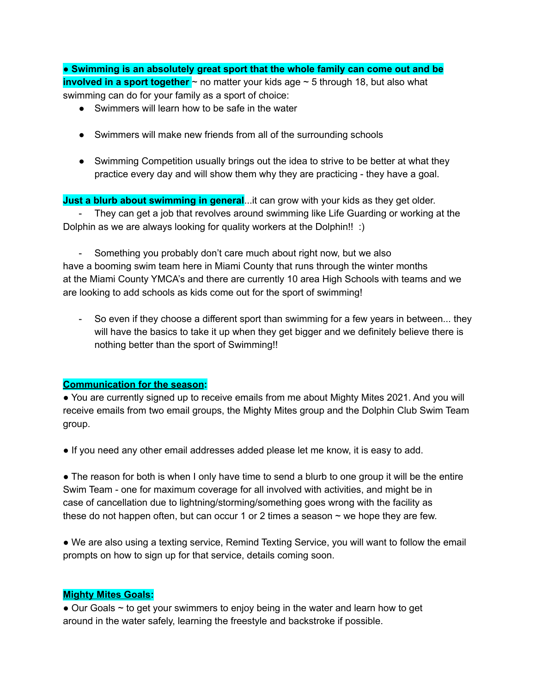● **Swimming is an absolutely great sport that the whole family can come out and be involved in a sport together** ~ no matter your kids age ~ 5 through 18, but also what swimming can do for your family as a sport of choice:

- Swimmers will learn how to be safe in the water
- Swimmers will make new friends from all of the surrounding schools
- Swimming Competition usually brings out the idea to strive to be better at what they practice every day and will show them why they are practicing - they have a goal.

**Just a blurb about swimming in general**...it can grow with your kids as they get older. - They can get a job that revolves around swimming like Life Guarding or working at the Dolphin as we are always looking for quality workers at the Dolphin!! :)

- Something you probably don't care much about right now, but we also have a booming swim team here in Miami County that runs through the winter months at the Miami County YMCA's and there are currently 10 area High Schools with teams and we are looking to add schools as kids come out for the sport of swimming!

- So even if they choose a different sport than swimming for a few years in between... they will have the basics to take it up when they get bigger and we definitely believe there is nothing better than the sport of Swimming!!

## **Communication for the season:**

● You are currently signed up to receive emails from me about Mighty Mites 2021. And you will receive emails from two email groups, the Mighty Mites group and the Dolphin Club Swim Team group.

● If you need any other email addresses added please let me know, it is easy to add.

• The reason for both is when I only have time to send a blurb to one group it will be the entire Swim Team - one for maximum coverage for all involved with activities, and might be in case of cancellation due to lightning/storming/something goes wrong with the facility as these do not happen often, but can occur 1 or 2 times a season  $\sim$  we hope they are few.

● We are also using a texting service, Remind Texting Service, you will want to follow the email prompts on how to sign up for that service, details coming soon.

## **Mighty Mites Goals:**

• Our Goals ~ to get your swimmers to enjoy being in the water and learn how to get around in the water safely, learning the freestyle and backstroke if possible.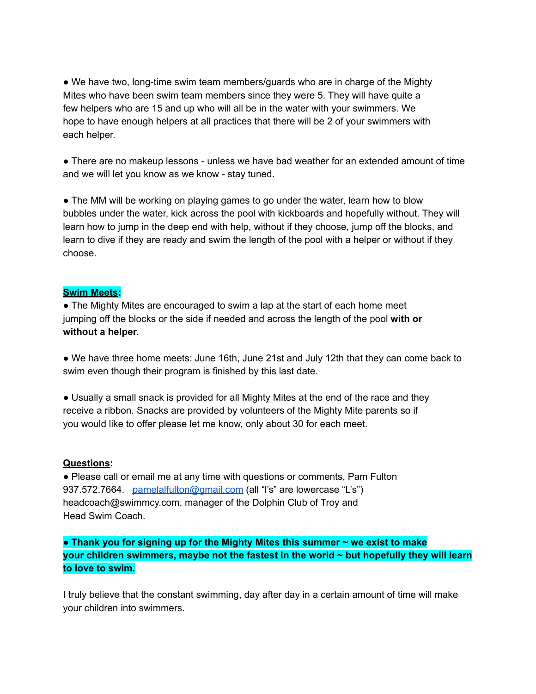• We have two, long-time swim team members/guards who are in charge of the Mighty Mites who have been swim team members since they were 5. They will have quite a few helpers who are 15 and up who will all be in the water with your swimmers. We hope to have enough helpers at all practices that there will be 2 of your swimmers with each helper.

● There are no makeup lessons - unless we have bad weather for an extended amount of time and we will let you know as we know - stay tuned.

• The MM will be working on playing games to go under the water, learn how to blow bubbles under the water, kick across the pool with kickboards and hopefully without. They will learn how to jump in the deep end with help, without if they choose, jump off the blocks, and learn to dive if they are ready and swim the length of the pool with a helper or without if they choose.

## **Swim Meets:**

● The Mighty Mites are encouraged to swim a lap at the start of each home meet jumping off the blocks or the side if needed and across the length of the pool **with or without a helper.**

● We have three home meets: June 16th, June 21st and July 12th that they can come back to swim even though their program is finished by this last date.

• Usually a small snack is provided for all Mighty Mites at the end of the race and they receive a ribbon. Snacks are provided by volunteers of the Mighty Mite parents so if you would like to offer please let me know, only about 30 for each meet.

#### **Questions:**

● Please call or email me at any time with questions or comments, Pam Fulton 937.572.7664. [pamelalfulton@gmail.com](mailto:pamelalfulton@gmail.com) (all "l's" are lowercase "L's") headcoach@swimmcy.com, manager of the Dolphin Club of Troy and Head Swim Coach.

**● Thank you for signing up for the Mighty Mites this summer ~ we exist to make your children swimmers, maybe not the fastest in the world ~ but hopefully they will learn to love to swim.**

I truly believe that the constant swimming, day after day in a certain amount of time will make your children into swimmers.